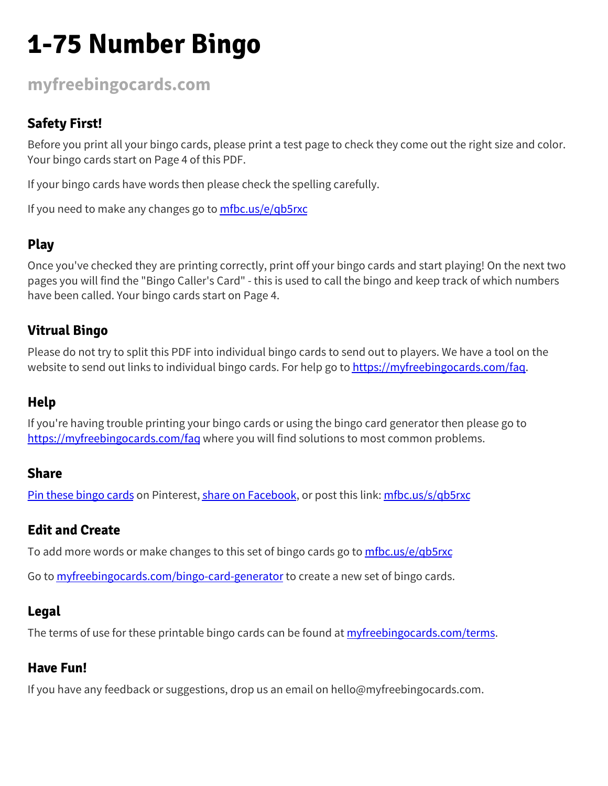## **1-75 Number Bingo**

**[myfreebingocards.com](https://myfreebingocards.com/)**

## **Safety First!**

Before you print all your bingo cards, please print a test page to check they come out the right size and color. Your bingo cards start on Page 4 of this PDF.

If your bingo cards have words then please check the spelling carefully.

If you need to make any changes go to [mfbc.us/e/qb5rxc](https://mfbc.us/e/qb5rxc)

## **Play**

Once you've checked they are printing correctly, print off your bingo cards and start playing! On the next two pages you will find the "Bingo Caller's Card" - this is used to call the bingo and keep track of which numbers have been called. Your bingo cards start on Page 4.

### **Vitrual Bingo**

Please do not try to split this PDF into individual bingo cards to send out to players. We have a tool on the website to send out links to individual bingo cards. For help go to [https://myfreebingocards.com/faq.](https://myfreebingocards.com/faq)

### **Help**

If you're having trouble printing your bingo cards or using the bingo card generator then please go to <https://myfreebingocards.com/faq> where you will find solutions to most common problems.

#### **Share**

Pin these [bingo](https://pinterest.com/pin/create/bookmarklet/?media=https%3A%2F%2Fmyfreebingocards.com%2Fp%2Fqb5rxc%2Fpin&url=https%3A%2F%2Fmfbc.us%2Fs%2Fqb5rxc&description=1-75+Number+Bingo) cards on Pinterest, share on [Facebook,](https://www.facebook.com/sharer/sharer.php?u=https%3A%2F%2Fmfbc.us%2Fs%2Fqb5rxc) or post this link: [mfbc.us/s/qb5rxc](https://mfbc.us/s/qb5rxc)

#### **Edit and Create**

To add more words or make changes to this set of bingo cards go to [mfbc.us/e/qb5rxc](https://mfbc.us/e/qb5rxc)

Go to **[myfreebingocards.com/bingo-card-generator](https://myfreebingocards.com/bingo-card-generator)** to create a new set of bingo cards.

#### **Legal**

The terms of use for these printable bingo cards can be found at *myfreebingocards.com/terms*.

#### **Have Fun!**

If you have any feedback or suggestions, drop us an email on hello@myfreebingocards.com.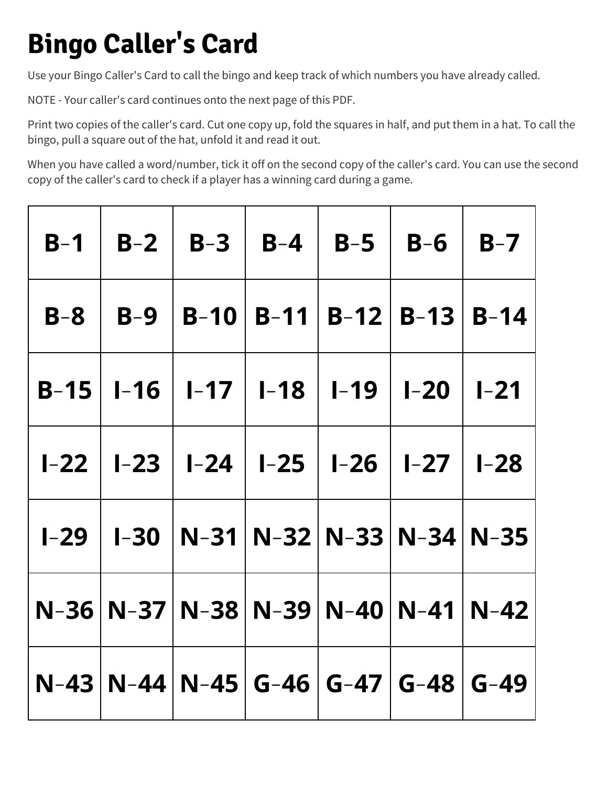## **Bingo Caller's Card**

Use your Bingo Caller's Card to call the bingo and keep track of which numbers you have already called.

NOTE - Your caller's card continues onto the next page of this PDF.

Print two copies of the caller's card. Cut one copy up, fold the squares in half, and put them in a hat. To call the bingo, pull a square out of the hat, unfold it and read it out.

When you have called a word/number, tick it off on the second copy of the caller's card. You can use the second copy of the caller's card to check if a player has a winning card during a game.

| $B-1$ | $B-2$   B-3   B-4   B-5   B-6   B-7                          |  |  |
|-------|--------------------------------------------------------------|--|--|
| $B-8$ | $B-9$   B-10   B-11   B-12   B-13   B-14                     |  |  |
|       | $B-15$   1-16   1-17   1-18   1-19   1-20   1-21             |  |  |
|       | $I-22$   $I-23$   $I-24$   $I-25$   $I-26$   $I-27$   $I-28$ |  |  |
|       | $I-29$   I-30   N-31   N-32   N-33   N-34   N-35             |  |  |
|       | N-36   N-37   N-38   N-39   N-40   N-41   N-42               |  |  |
|       | N-43   N-44   N-45   G-46   G-47   G-48   G-49               |  |  |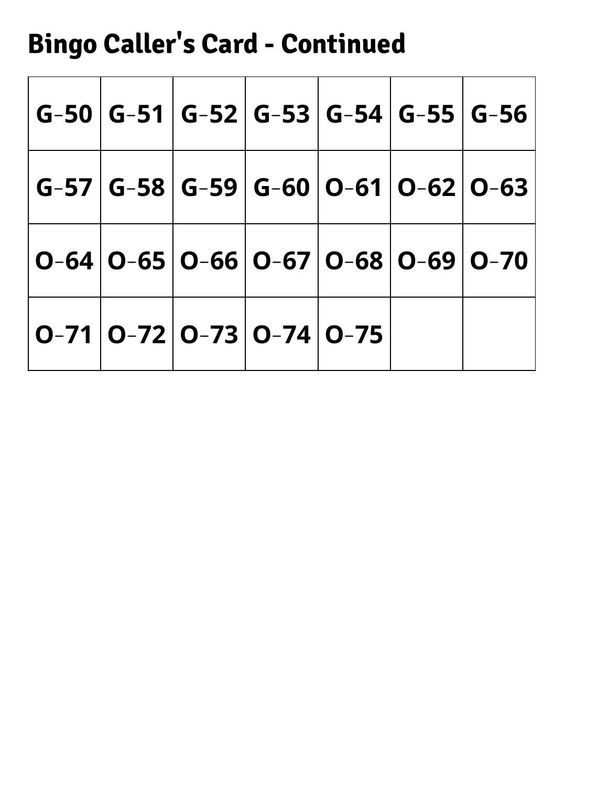# **Bingo Caller's Card - Continued**

|  |                                                  |  | $\mid$ G-50 $\mid$ G-51 $\mid$ G-52 $\mid$ G-53 $\mid$ G-54 $\mid$ G-55 $\mid$ G-56 $\mid$                                                      |
|--|--------------------------------------------------|--|-------------------------------------------------------------------------------------------------------------------------------------------------|
|  |                                                  |  | $\mid$ G-57 $\mid$ G-58 $\mid$ G-59 $\mid$ G-60 $\mid$ O-61 $\mid$ O-62 $\mid$ O-63 $\mid$                                                      |
|  |                                                  |  | $ \,\mathbf{O}$ –64 $ \,\mathbf{O}$ –65 $ \,\mathbf{O}$ –66 $ \,\mathbf{O}$ –67 $ \,\mathbf{O}$ –68 $ \,\mathbf{O}$ –69 $ \,\mathbf{O}$ –70 $ $ |
|  | $ $ O-71 $ $ O-72 $ $ O-73 $ $ O-74 $ $ O-75 $ $ |  |                                                                                                                                                 |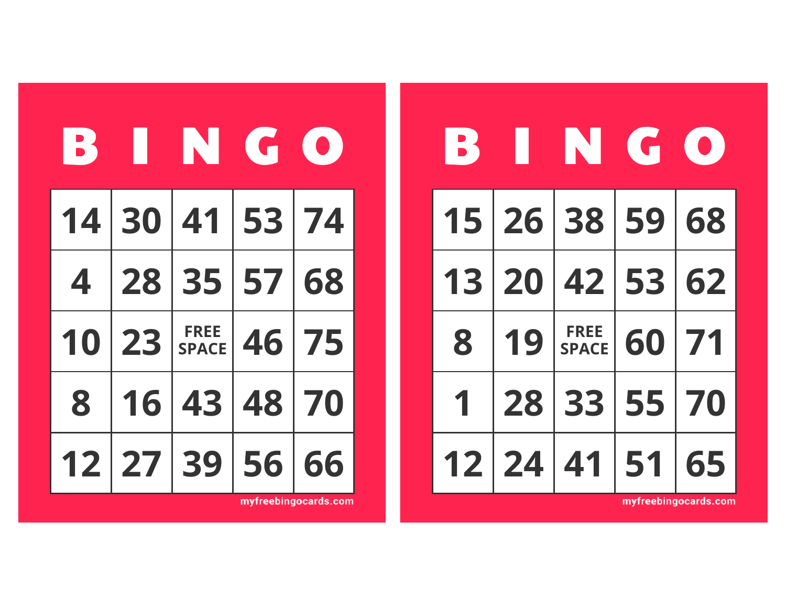| <b>B</b> |    | THE GO                      |       |    |
|----------|----|-----------------------------|-------|----|
|          |    | 14 30 41 53 74              |       |    |
|          |    | 4 28 35 57 68               |       |    |
| 10       | 23 | <b>FREE</b><br><b>SPACE</b> | 46    | 75 |
| 8        | 16 |                             | 43 48 | 70 |
|          |    | 12 27 39 56                 |       | 66 |

| 6  | H  |                             | NTC | $\begin{pmatrix} 1 \\ 0 \end{pmatrix}$ |
|----|----|-----------------------------|-----|----------------------------------------|
|    |    | 15 26 38 59 68              |     |                                        |
| 13 |    | 20   42   53   62           |     |                                        |
| 8  | 19 | <b>FREE</b><br><b>SPACE</b> | 60  | 71                                     |
| 1  | 28 | 33                          | 55  | 70                                     |
| 12 | 24 | 41                          | 51  | 65                                     |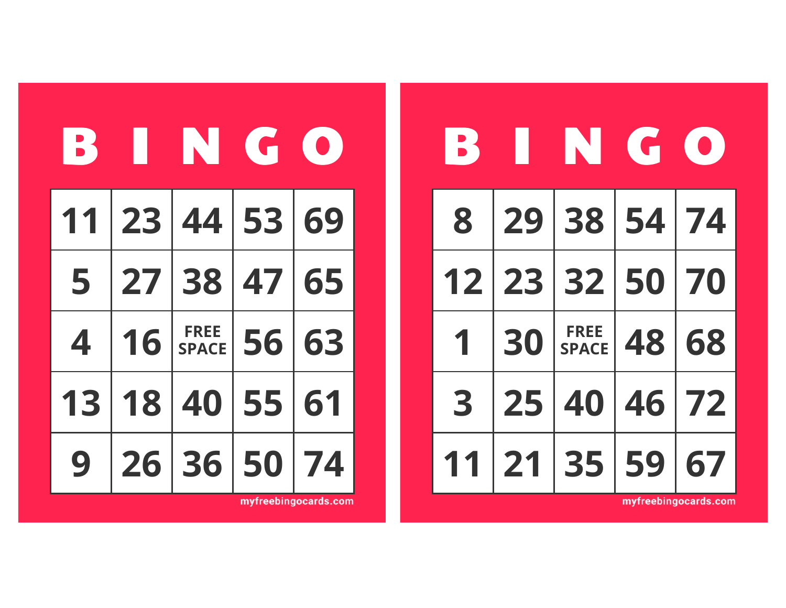| 51 | H     | IN                          | <b>Tel</b> |    |
|----|-------|-----------------------------|------------|----|
| 11 | 23    | 44 53                       |            | 69 |
| 5  | 27 38 |                             | 47         | 65 |
| 4  | 16    | <b>FREE</b><br><b>SPACE</b> | 56         | 63 |
| 13 | 18    | 40                          | 55         | 61 |
|    |       | 26 36                       | 50         | 74 |

| <b>B</b> | I II | N G                         |    | $\bullet$ ) |
|----------|------|-----------------------------|----|-------------|
| 8        |      | 29 38 54 74                 |    |             |
| 12       |      | 23 32 50                    |    | 70          |
| 1        | 30   | <b>FREE</b><br><b>SPACE</b> | 48 | 68          |
| 3        | 25   | 40                          | 46 | 72          |
|          | 21   | 35                          | 59 | 67          |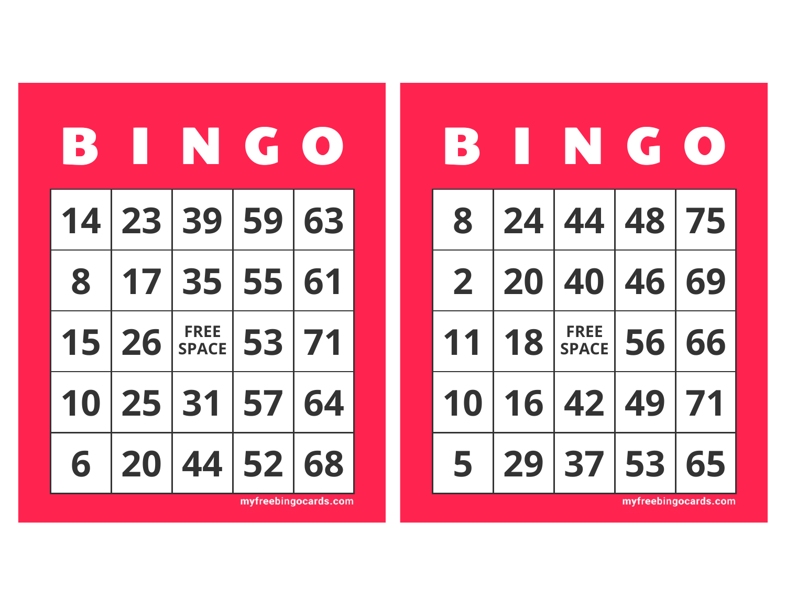| 13 | Ш     | IN                          | <b>THE CHIL</b> |    |
|----|-------|-----------------------------|-----------------|----|
|    |       | 14 23 39 59                 |                 | 63 |
| 8  | 17 35 |                             | 55              | 61 |
| 15 | 26    | <b>FREE</b><br><b>SPACE</b> | 53              | 71 |
| 10 | 25    | 31                          | 57              | 64 |
| 6  | 20    | 44                          | 52              | 68 |

myfreebingocards.com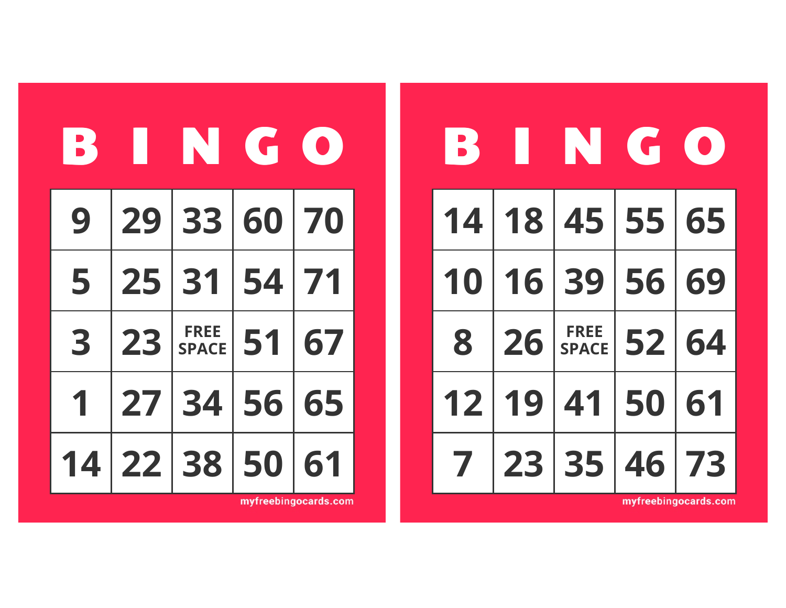| <b>E</b> |                 | <b>TANK</b>                 |    |    |
|----------|-----------------|-----------------------------|----|----|
| 9        |                 | 29 33 60 70                 |    |    |
| 5        | 25              | 31                          | 54 | 71 |
| 3        | 23              | <b>FREE</b><br><b>SPACE</b> | 51 | 67 |
| 1        | 27 <sup>1</sup> | 34                          | 56 | 65 |
| 14       |                 | 22 38 50                    |    |    |

| В  |       | <b>TANK GEORGE</b>          |       | $\begin{pmatrix} 0 \end{pmatrix}$ |
|----|-------|-----------------------------|-------|-----------------------------------|
|    |       | 14 18 45 55 65              |       |                                   |
| 10 | 16 39 |                             | 56 69 |                                   |
| 8  | 26    | <b>FREE</b><br><b>SPACE</b> | 52 64 |                                   |
|    | 12 19 | 41                          | 50 61 |                                   |
| 7  |       | 23 35 46 73                 |       |                                   |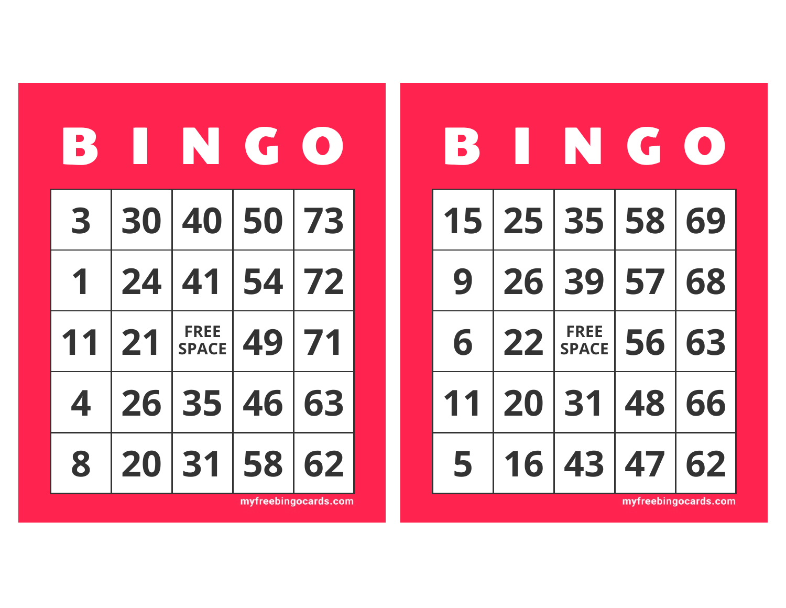| $\overline{\phantom{a}}$ | I               | IN                          |    |    |
|--------------------------|-----------------|-----------------------------|----|----|
| 3                        |                 | 30 40 50 73                 |    |    |
| 1                        | $\overline{24}$ | $\overline{141}$            | 54 | 72 |
| 11                       | 21              | <b>FREE</b><br><b>SPACE</b> | 49 | 71 |
| 4                        |                 | 26 35                       | 46 | 63 |
| 8                        | 20              | 31                          | 58 | 62 |

myfreebingocards.com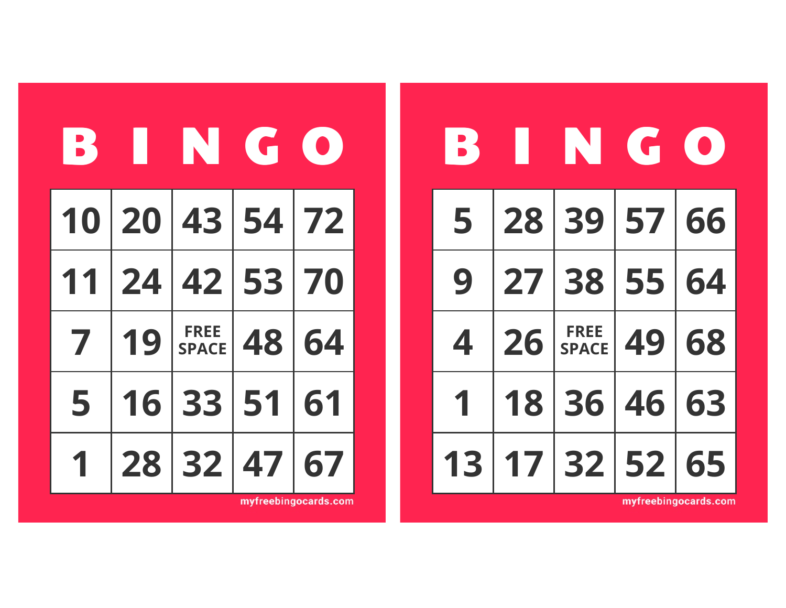| В |    | <b>TANK GALL</b>            |       |    |
|---|----|-----------------------------|-------|----|
|   |    | 10 20 43 54 72              |       |    |
|   |    | 11 24 42 53 70              |       |    |
| 7 | 19 | <b>FREE</b><br><b>SPACE</b> | 48 64 |    |
| 5 |    | 16 33 51                    |       | 61 |
|   |    | 28 32                       | 47    |    |

| 51 | 11 | INGL                         |          | $\left( \begin{array}{c} 0 \end{array} \right)$ |
|----|----|------------------------------|----------|-------------------------------------------------|
| 5  |    | 28 39 57 66                  |          |                                                 |
| 9  |    | 27 38 55 64                  |          |                                                 |
| 4  | 26 | <b>FREE</b><br>FREE<br>SPACE | 49 68    |                                                 |
|    | 18 |                              | 36 46 63 |                                                 |
| 13 |    | 17 32 52 65                  |          |                                                 |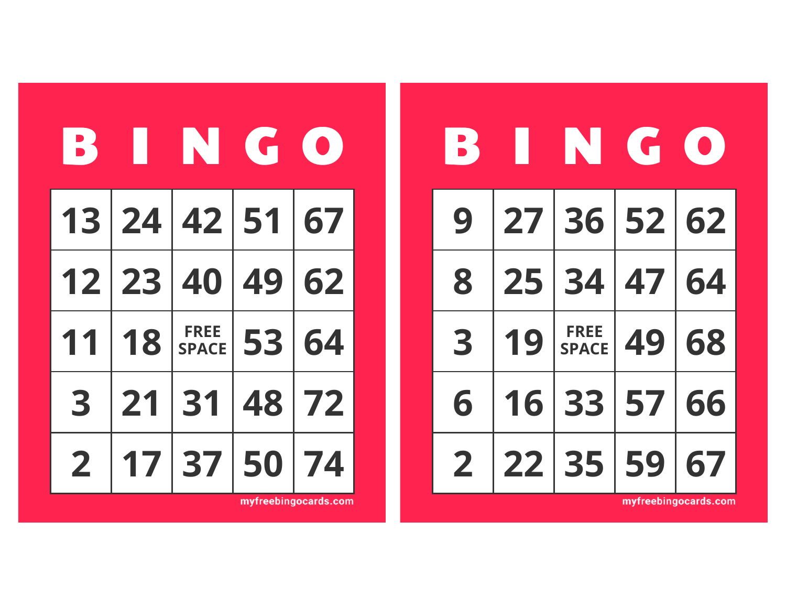| 18 | I P | IN GO                       |    |    |
|----|-----|-----------------------------|----|----|
|    |     | 13 24 42 51 67              |    |    |
|    |     | 12 23 40 49 62              |    |    |
| 11 | 18  | <b>FREE</b><br><b>SPACE</b> | 53 | 64 |
| 3  | 21  | 31                          | 48 | 72 |
|    |     | 17 37                       | 50 | 74 |

| <b>B</b> | U  | INGL                        |          | $\left(\begin{array}{c} \bullet \end{array}\right)$ |
|----------|----|-----------------------------|----------|-----------------------------------------------------|
| 9        |    | 27 36 52 62                 |          |                                                     |
| 8        | 25 |                             | 34 47 64 |                                                     |
| 3        | 19 | <b>FREE</b><br><b>SPACE</b> | 49       | 68                                                  |
| 6        | 16 | 33                          | 57       | 66                                                  |
| 2        | 22 | 35                          | 59       | 67                                                  |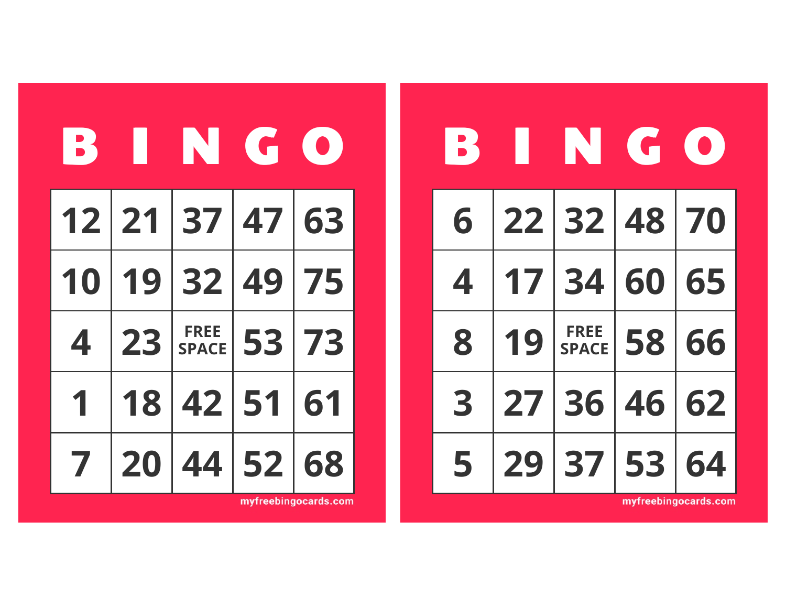| 13 | IT | INTH                        |            |    |
|----|----|-----------------------------|------------|----|
|    |    | 12 21 37 47 63              |            |    |
| 10 |    | 19 32 49                    |            | 75 |
| 4  | 23 | <b>FREE</b><br><b>SPACE</b> | <b>531</b> | 73 |
|    | 18 | 42                          | 51         | 61 |
|    | 20 |                             | 44 52      | 68 |

myfreebingocards.com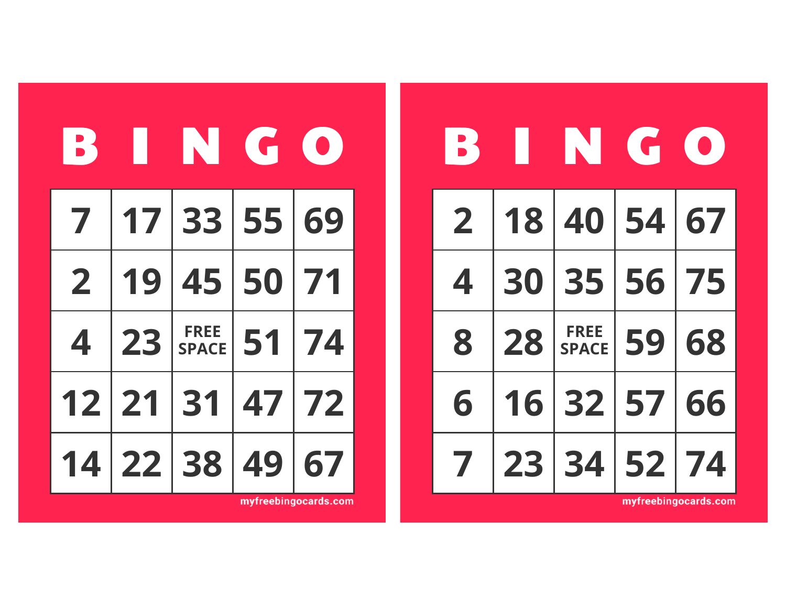| 5               | 10    | IN                          | <b>ACCESS</b> |    |
|-----------------|-------|-----------------------------|---------------|----|
| 7               |       | 17 33 55                    |               | 69 |
| $\mathbf{2}$    | 19    | 45 50                       |               | 71 |
| 4               | 23    | <b>FREE</b><br><b>SPACE</b> | 51            | 74 |
| 12 <sub>2</sub> | 21    | 31                          | 47            | 72 |
| 4               | 22 38 |                             | 49            | 67 |

myfreebingocards.com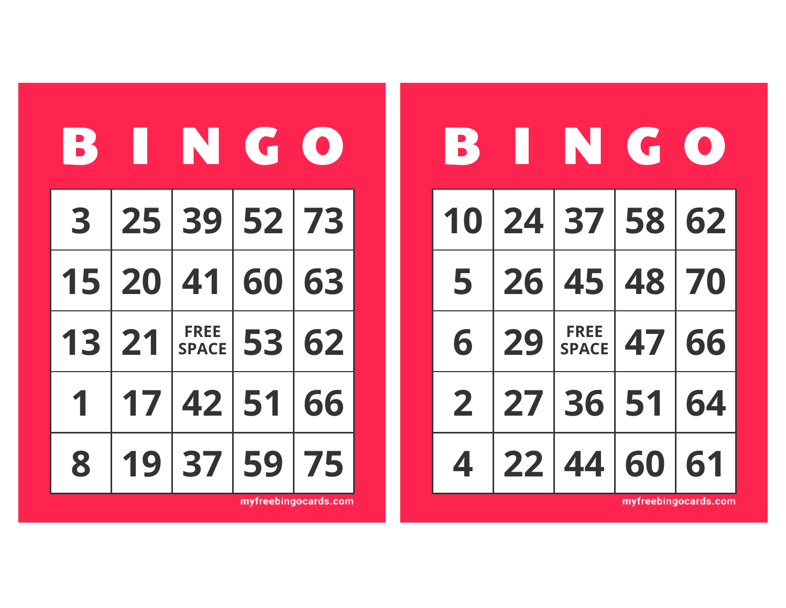| 15 | H  | N                           | <b>Tel</b> |    |
|----|----|-----------------------------|------------|----|
| 3  |    | 25 39 52 73                 |            |    |
| 15 | 20 | 41                          | 60         | 63 |
| 13 | 21 | <b>FREE</b><br><b>SPACE</b> | 53         | 62 |
| 1  | 17 | 42                          | 51         | 66 |
| 8  |    | 37                          | 59         | 75 |

myfreebingocards.com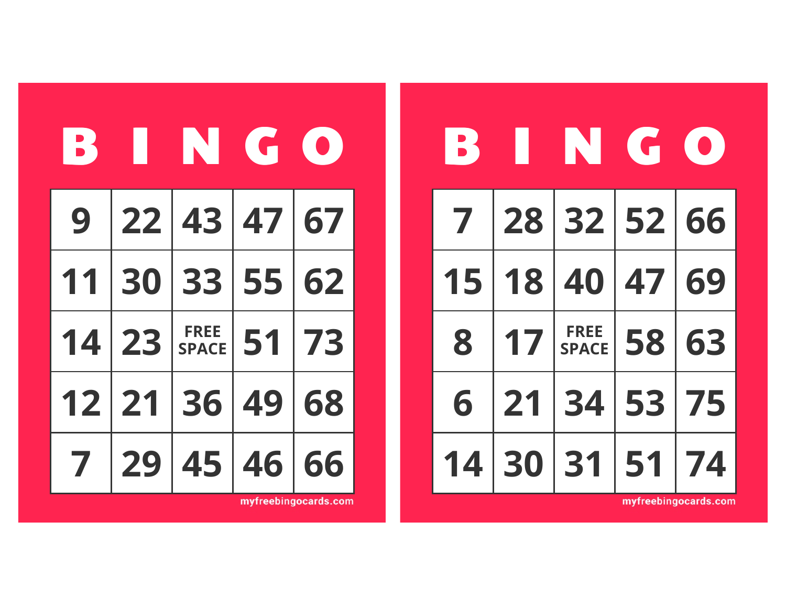| <b>B</b> |       | THE GO                      |       |    |
|----------|-------|-----------------------------|-------|----|
| 9        |       | 22 43 47 67                 |       |    |
| 11       |       | 30 33 55 62                 |       |    |
|          | 14 23 | <b>FREE</b><br><b>SPACE</b> | 51 73 |    |
| 12 21    |       | 36                          | 49    | 68 |
| 7        | 29    |                             | 45 46 | 66 |

| <b>B3</b>    | <b>. .</b> | NTH                         |       | $\bullet$ |
|--------------|------------|-----------------------------|-------|-----------|
| $\mathbf{Z}$ |            | 28 32 52 66                 |       |           |
|              |            | 15 18 40 47 69              |       |           |
| 8            | 17         | <b>FREE</b><br><b>SPACE</b> | 58 63 |           |
| 6            | 21         | 34                          | 53 75 |           |
|              | 30 31      |                             | 51    | 74        |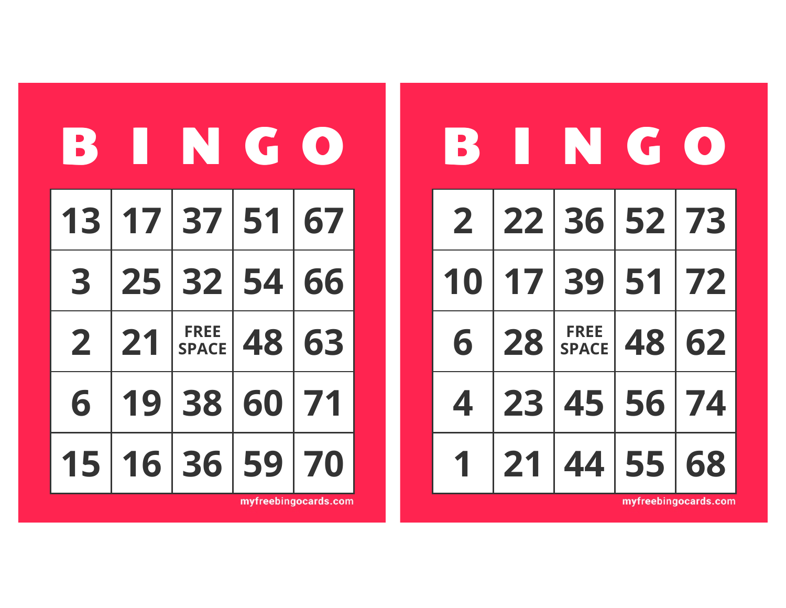| 15          |    | <b>TENTG</b>                |    |    |
|-------------|----|-----------------------------|----|----|
|             |    | 13 17 37 51                 |    | 67 |
| 3           | 25 | 32 54                       |    | 66 |
| $\mathbf 2$ | 21 | <b>FREE</b><br><b>SPACE</b> | 48 | 63 |
| 6           | 19 | 38 60                       |    | 71 |
| 15          |    | 16 36 59                    |    | 70 |

| <b>B</b>       |    | I NATIONAL                  |       | $\bullet$ ) |
|----------------|----|-----------------------------|-------|-------------|
| $\overline{2}$ |    | 22 36 52 73                 |       |             |
| 10             |    | 17 39 51 72                 |       |             |
| 6              | 28 | <b>FREE</b><br><b>SPACE</b> | 48    | 62          |
| 4              | 23 | 45                          | 56    | 74          |
|                | 21 | 44                          | 55 68 |             |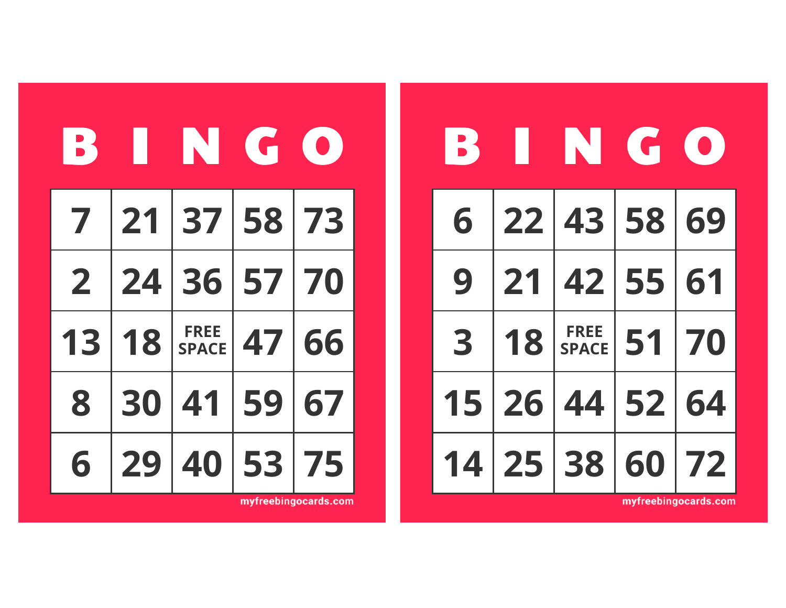| <b>B</b>       | L               | IN G                        |          |    |
|----------------|-----------------|-----------------------------|----------|----|
|                | 7 21            |                             | 37 58 73 |    |
| $\overline{2}$ | $\overline{24}$ |                             | 36 57 70 |    |
| 13             | 18              | <b>FREE</b><br><b>SPACE</b> | 47       | 66 |
| 8              | 30              | 41                          | 59       | 67 |
| 6              | 29              | 40                          | 53       | 75 |

| <b>B</b> |    | THE CO         |       |  |
|----------|----|----------------|-------|--|
| 6        |    | 22 43 58 69    |       |  |
| 9        |    | 21 42 55 61    |       |  |
| 3        | 18 | FREE<br>SPACE  | 51 70 |  |
|          |    | 15 26 44 52 64 |       |  |
|          |    | 14 25 38 60 72 |       |  |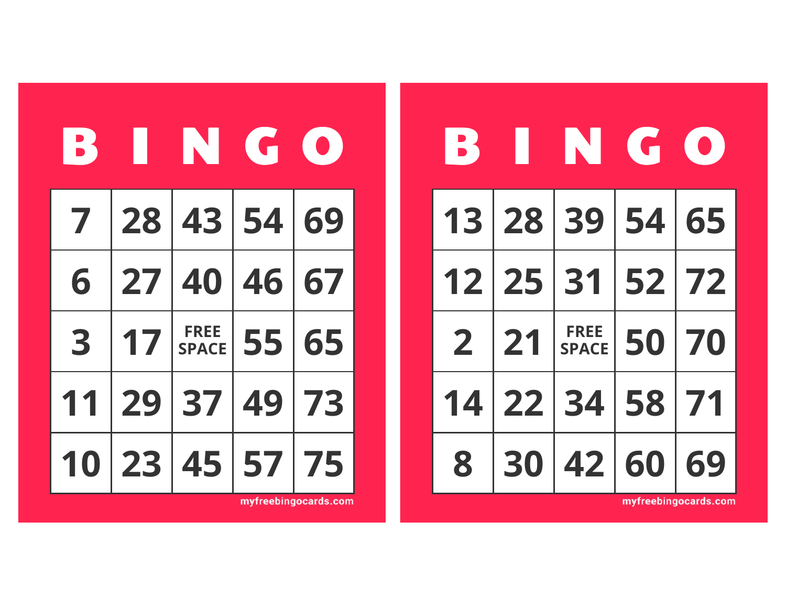| <b>B</b> | l u | ING                         |       |    |
|----------|-----|-----------------------------|-------|----|
|          |     | 7 28 43 54 69               |       |    |
| 6        |     | 27 40 46                    |       | 67 |
| 3        | 17  | <b>FREE</b><br><b>SPACE</b> | 55 65 |    |
| 11       | 29  | 37                          | 49    | 73 |
|          | 23  | 45 57                       |       | 75 |

| В              | l D             | NT C                        |       | $\bullet$ |
|----------------|-----------------|-----------------------------|-------|-----------|
|                |                 | 13 28 39 54 65              |       |           |
|                |                 | $12$ 25 31                  | 52 72 |           |
| $\overline{2}$ | $\overline{21}$ | <b>FREE</b><br><b>SPACE</b> | 50 70 |           |
| 14             |                 | 22 34 58 71                 |       |           |
| 8              |                 | 30 42 60                    |       | 69        |